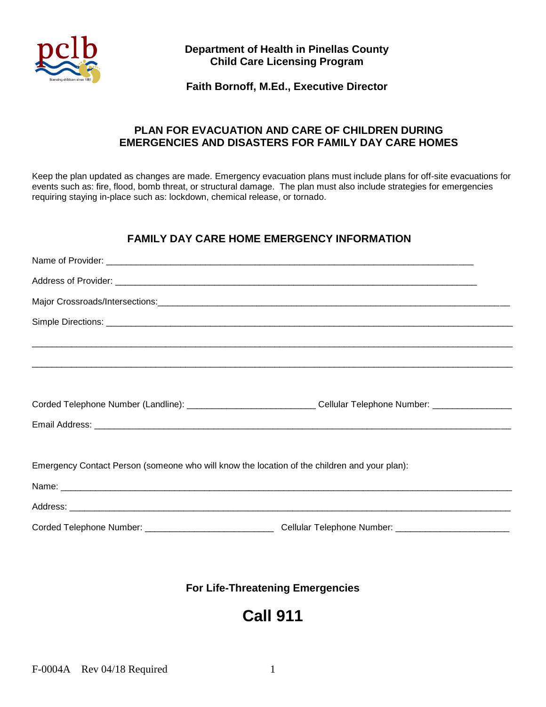

## **Department of Health in Pinellas County Child Care Licensing Program**

#### **Faith Bornoff, M.Ed., Executive Director**

## **PLAN FOR EVACUATION AND CARE OF CHILDREN DURING EMERGENCIES AND DISASTERS FOR FAMILY DAY CARE HOMES**

Keep the plan updated as changes are made. Emergency evacuation plans must include plans for off-site evacuations for events such as: fire, flood, bomb threat, or structural damage. The plan must also include strategies for emergencies requiring staying in-place such as: lockdown, chemical release, or tornado.

#### **FAMILY DAY CARE HOME EMERGENCY INFORMATION**

| Corded Telephone Number (Landline): _______________________________Cellular Telephone Number: ________________ |  |
|----------------------------------------------------------------------------------------------------------------|--|
|                                                                                                                |  |
|                                                                                                                |  |
| Emergency Contact Person (someone who will know the location of the children and your plan):                   |  |
|                                                                                                                |  |
|                                                                                                                |  |
|                                                                                                                |  |

# **For Life-Threatening Emergencies**

# **Call 911**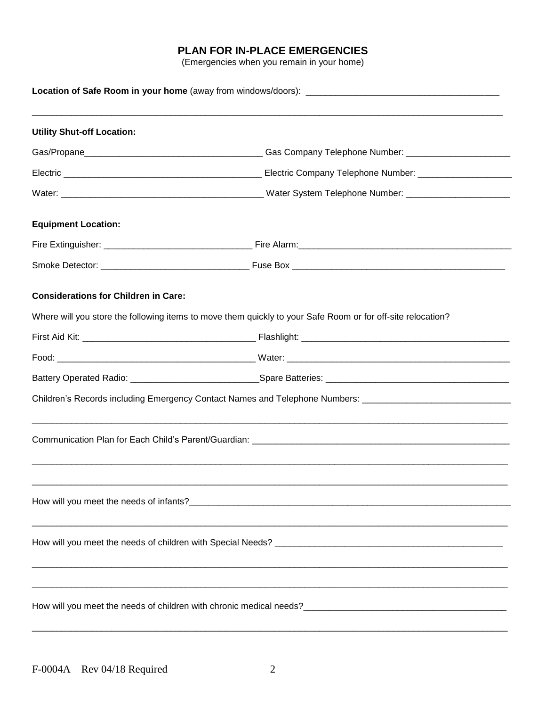# **PLAN FOR IN-PLACE EMERGENCIES**

(Emergencies when you remain in your home)

| <b>Utility Shut-off Location:</b>           |                                                                                                                |  |
|---------------------------------------------|----------------------------------------------------------------------------------------------------------------|--|
|                                             |                                                                                                                |  |
|                                             |                                                                                                                |  |
|                                             |                                                                                                                |  |
| <b>Equipment Location:</b>                  |                                                                                                                |  |
|                                             |                                                                                                                |  |
|                                             |                                                                                                                |  |
| <b>Considerations for Children in Care:</b> |                                                                                                                |  |
|                                             | Where will you store the following items to move them quickly to your Safe Room or for off-site relocation?    |  |
|                                             |                                                                                                                |  |
|                                             |                                                                                                                |  |
|                                             |                                                                                                                |  |
|                                             | Children's Records including Emergency Contact Names and Telephone Numbers: __________________________________ |  |
|                                             |                                                                                                                |  |
|                                             |                                                                                                                |  |
|                                             |                                                                                                                |  |
|                                             |                                                                                                                |  |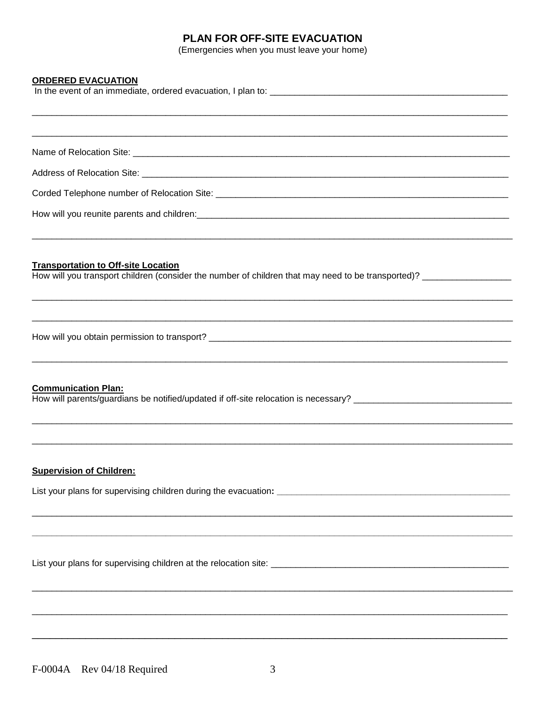# PLAN FOR OFF-SITE EVACUATION

(Emergencies when you must leave your home)

#### **ORDERED EVACUATION**

| <b>Transportation to Off-site Location</b><br>How will you transport children (consider the number of children that may need to be transported)? _________________ |
|--------------------------------------------------------------------------------------------------------------------------------------------------------------------|
|                                                                                                                                                                    |
|                                                                                                                                                                    |
| <b>Communication Plan:</b>                                                                                                                                         |
|                                                                                                                                                                    |
| <b>Supervision of Children:</b>                                                                                                                                    |
| List your plans for supervising children during the evacuation: ___________________________________                                                                |
|                                                                                                                                                                    |
|                                                                                                                                                                    |
|                                                                                                                                                                    |
|                                                                                                                                                                    |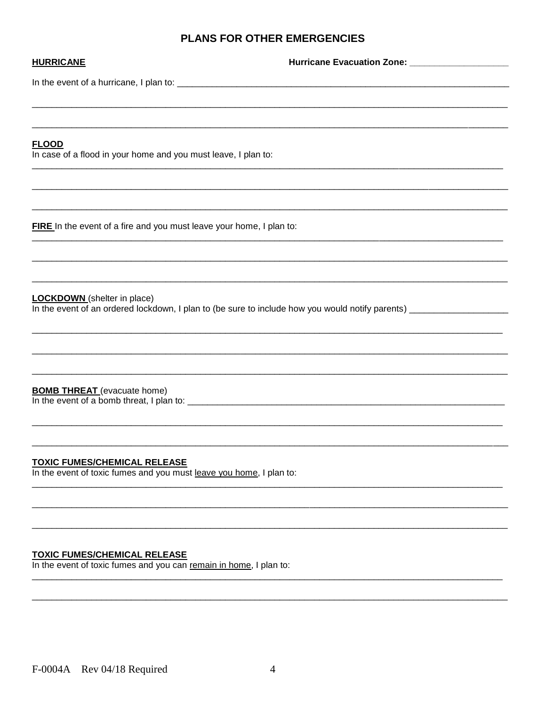# PLANS FOR OTHER EMERGENCIES

| <b>HURRICANE</b>                                                                                           | Hurricane Evacuation Zone: __________________                                                                        |
|------------------------------------------------------------------------------------------------------------|----------------------------------------------------------------------------------------------------------------------|
|                                                                                                            |                                                                                                                      |
|                                                                                                            |                                                                                                                      |
|                                                                                                            |                                                                                                                      |
| <b>FLOOD</b><br>In case of a flood in your home and you must leave, I plan to:                             |                                                                                                                      |
|                                                                                                            |                                                                                                                      |
|                                                                                                            |                                                                                                                      |
|                                                                                                            |                                                                                                                      |
| FIRE In the event of a fire and you must leave your home, I plan to:                                       |                                                                                                                      |
|                                                                                                            |                                                                                                                      |
|                                                                                                            |                                                                                                                      |
| <b>LOCKDOWN</b> (shelter in place)                                                                         |                                                                                                                      |
|                                                                                                            | In the event of an ordered lockdown, I plan to (be sure to include how you would notify parents) ___________________ |
|                                                                                                            |                                                                                                                      |
|                                                                                                            |                                                                                                                      |
| <b>BOMB THREAT</b> (evacuate home)                                                                         |                                                                                                                      |
|                                                                                                            |                                                                                                                      |
|                                                                                                            |                                                                                                                      |
|                                                                                                            |                                                                                                                      |
| <b>TOXIC FUMES/CHEMICAL RELEASE</b><br>In the event of toxic fumes and you must leave you home, I plan to: |                                                                                                                      |
|                                                                                                            |                                                                                                                      |
|                                                                                                            |                                                                                                                      |

TOXIC FUMES/CHEMICAL RELEASE<br>In the event of toxic fumes and you can remain in home, I plan to: